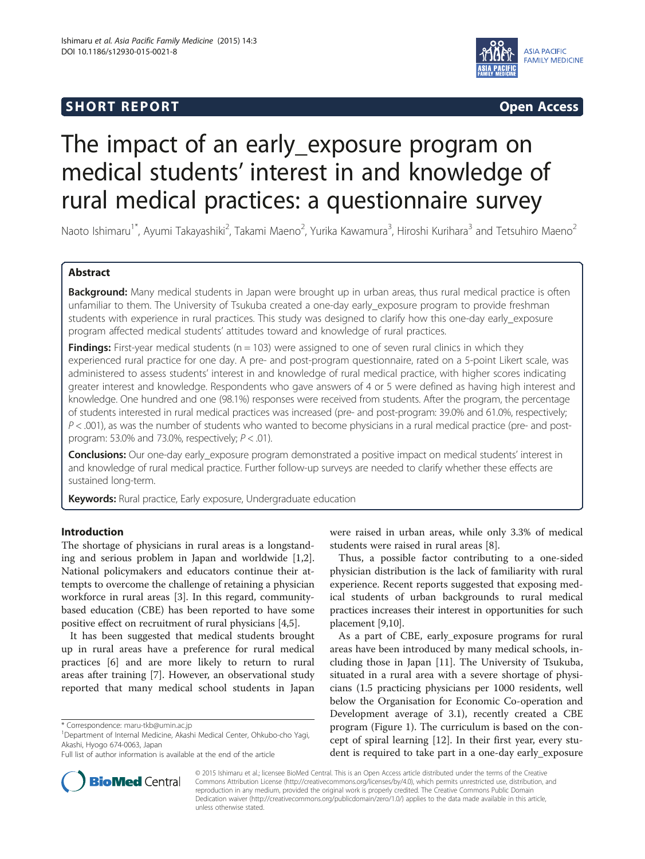# **SHORT REPORT SHORT CONSUMING ACCESS**



# The impact of an early\_exposure program on medical students' interest in and knowledge of rural medical practices: a questionnaire survey

Naoto Ishimaru<sup>1\*</sup>, Ayumi Takayashiki<sup>2</sup>, Takami Maeno<sup>2</sup>, Yurika Kawamura<sup>3</sup>, Hiroshi Kurihara<sup>3</sup> and Tetsuhiro Maeno<sup>2</sup>

# Abstract

Background: Many medical students in Japan were brought up in urban areas, thus rural medical practice is often unfamiliar to them. The University of Tsukuba created a one-day early\_exposure program to provide freshman students with experience in rural practices. This study was designed to clarify how this one-day early\_exposure program affected medical students' attitudes toward and knowledge of rural practices.

**Findings:** First-year medical students ( $n = 103$ ) were assigned to one of seven rural clinics in which they experienced rural practice for one day. A pre- and post-program questionnaire, rated on a 5-point Likert scale, was administered to assess students' interest in and knowledge of rural medical practice, with higher scores indicating greater interest and knowledge. Respondents who gave answers of 4 or 5 were defined as having high interest and knowledge. One hundred and one (98.1%) responses were received from students. After the program, the percentage of students interested in rural medical practices was increased (pre- and post-program: 39.0% and 61.0%, respectively;  $P < .001$ ), as was the number of students who wanted to become physicians in a rural medical practice (pre- and postprogram: 53.0% and 73.0%, respectively;  $P < .01$ ).

Conclusions: Our one-day early exposure program demonstrated a positive impact on medical students' interest in and knowledge of rural medical practice. Further follow-up surveys are needed to clarify whether these effects are sustained long-term.

Keywords: Rural practice, Early exposure, Undergraduate education

## Introduction

The shortage of physicians in rural areas is a longstanding and serious problem in Japan and worldwide [\[1,2](#page-4-0)]. National policymakers and educators continue their attempts to overcome the challenge of retaining a physician workforce in rural areas [[3\]](#page-4-0). In this regard, communitybased education (CBE) has been reported to have some positive effect on recruitment of rural physicians [[4,5\]](#page-4-0).

It has been suggested that medical students brought up in rural areas have a preference for rural medical practices [[6\]](#page-4-0) and are more likely to return to rural areas after training [[7\]](#page-4-0). However, an observational study reported that many medical school students in Japan



Thus, a possible factor contributing to a one-sided physician distribution is the lack of familiarity with rural experience. Recent reports suggested that exposing medical students of urban backgrounds to rural medical practices increases their interest in opportunities for such placement [[9,10](#page-4-0)].

As a part of CBE, early\_exposure programs for rural areas have been introduced by many medical schools, including those in Japan [\[11](#page-4-0)]. The University of Tsukuba, situated in a rural area with a severe shortage of physicians (1.5 practicing physicians per 1000 residents, well below the Organisation for Economic Co-operation and Development average of 3.1), recently created a CBE program (Figure [1](#page-1-0)). The curriculum is based on the concept of spiral learning [[12](#page-4-0)]. In their first year, every student is required to take part in a one-day early\_exposure



© 2015 Ishimaru et al.; licensee BioMed Central. This is an Open Access article distributed under the terms of the Creative Commons Attribution License [\(http://creativecommons.org/licenses/by/4.0\)](http://creativecommons.org/licenses/by/4.0), which permits unrestricted use, distribution, and reproduction in any medium, provided the original work is properly credited. The Creative Commons Public Domain Dedication waiver [\(http://creativecommons.org/publicdomain/zero/1.0/](http://creativecommons.org/publicdomain/zero/1.0/)) applies to the data made available in this article, unless otherwise stated.

<sup>\*</sup> Correspondence: [maru-tkb@umin.ac.jp](mailto:maru-tkb@umin.ac.jp) <sup>1</sup>

Department of Internal Medicine, Akashi Medical Center, Ohkubo-cho Yagi, Akashi, Hyogo 674-0063, Japan

Full list of author information is available at the end of the article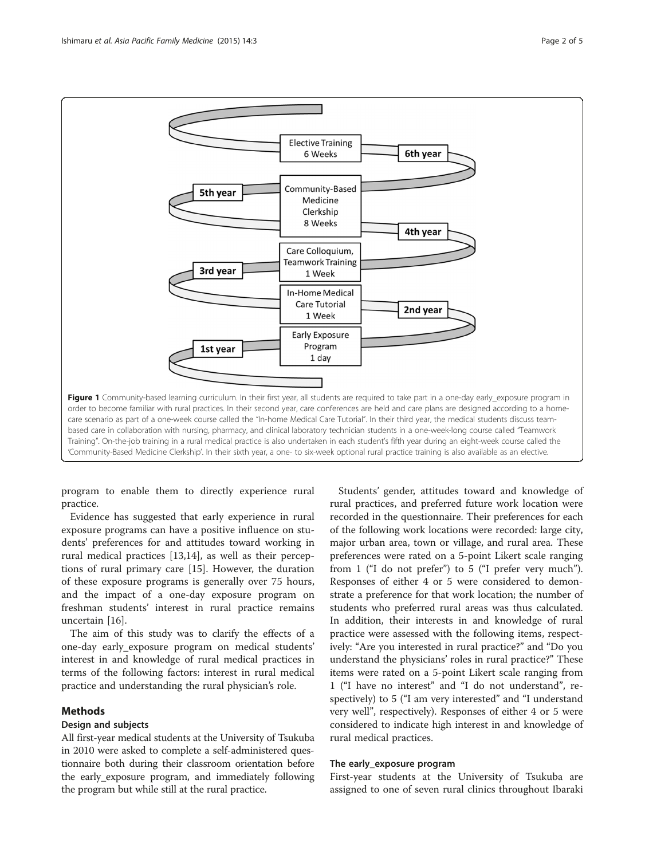<span id="page-1-0"></span>

care scenario as part of a one-week course called the "In-home Medical Care Tutorial". In their third year, the medical students discuss teambased care in collaboration with nursing, pharmacy, and clinical laboratory technician students in a one-week-long course called "Teamwork Training". On-the-job training in a rural medical practice is also undertaken in each student's fifth year during an eight-week course called the 'Community-Based Medicine Clerkship'. In their sixth year, a one- to six-week optional rural practice training is also available as an elective.

program to enable them to directly experience rural practice.

Evidence has suggested that early experience in rural exposure programs can have a positive influence on students' preferences for and attitudes toward working in rural medical practices [[13,14\]](#page-4-0), as well as their perceptions of rural primary care [\[15\]](#page-4-0). However, the duration of these exposure programs is generally over 75 hours, and the impact of a one-day exposure program on freshman students' interest in rural practice remains uncertain [\[16\]](#page-4-0).

The aim of this study was to clarify the effects of a one-day early\_exposure program on medical students' interest in and knowledge of rural medical practices in terms of the following factors: interest in rural medical practice and understanding the rural physician's role.

# Methods

# Design and subjects

All first-year medical students at the University of Tsukuba in 2010 were asked to complete a self-administered questionnaire both during their classroom orientation before the early\_exposure program, and immediately following the program but while still at the rural practice.

Students' gender, attitudes toward and knowledge of rural practices, and preferred future work location were recorded in the questionnaire. Their preferences for each of the following work locations were recorded: large city, major urban area, town or village, and rural area. These preferences were rated on a 5-point Likert scale ranging from 1 ("I do not prefer") to 5 ("I prefer very much"). Responses of either 4 or 5 were considered to demonstrate a preference for that work location; the number of students who preferred rural areas was thus calculated. In addition, their interests in and knowledge of rural practice were assessed with the following items, respectively: "Are you interested in rural practice?" and "Do you understand the physicians' roles in rural practice?" These items were rated on a 5-point Likert scale ranging from 1 ("I have no interest" and "I do not understand", respectively) to 5 ("I am very interested" and "I understand very well", respectively). Responses of either 4 or 5 were considered to indicate high interest in and knowledge of rural medical practices.

#### The early\_exposure program

First-year students at the University of Tsukuba are assigned to one of seven rural clinics throughout Ibaraki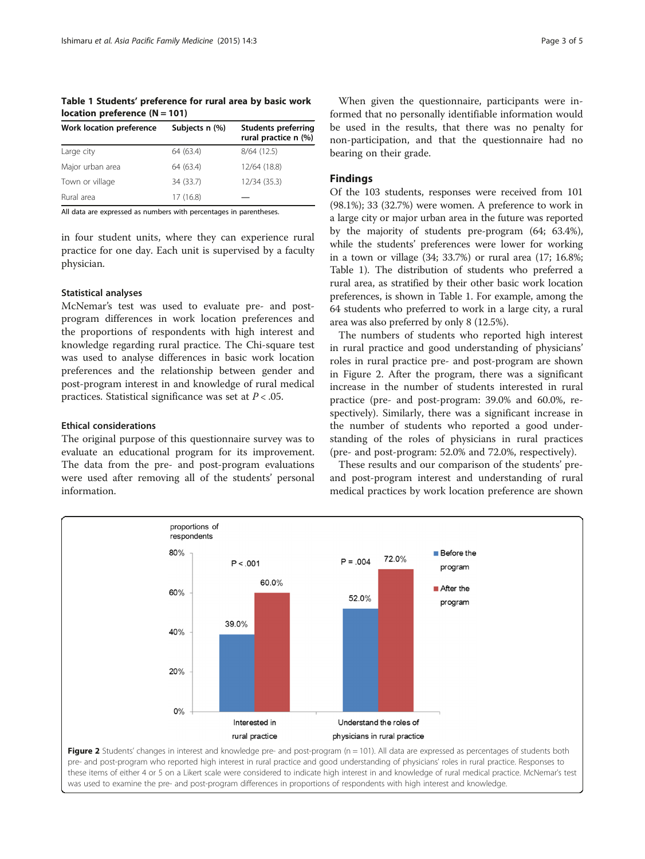Table 1 Students' preference for rural area by basic work location preference  $(N = 101)$ 

| Work location preference | Subjects n (%) | <b>Students preferring</b><br>rural practice n (%) |
|--------------------------|----------------|----------------------------------------------------|
| Large city               | 64 (63.4)      | 8/64(12.5)                                         |
| Major urban area         | 64 (63.4)      | 12/64 (18.8)                                       |
| Town or village          | 34 (33.7)      | 12/34 (35.3)                                       |
| Rural area               | 17 (16.8)      |                                                    |

All data are expressed as numbers with percentages in parentheses.

in four student units, where they can experience rural practice for one day. Each unit is supervised by a faculty physician.

#### Statistical analyses

McNemar's test was used to evaluate pre- and postprogram differences in work location preferences and the proportions of respondents with high interest and knowledge regarding rural practice. The Chi-square test was used to analyse differences in basic work location preferences and the relationship between gender and post-program interest in and knowledge of rural medical practices. Statistical significance was set at  $P < .05$ .

#### Ethical considerations

The original purpose of this questionnaire survey was to evaluate an educational program for its improvement. The data from the pre- and post-program evaluations were used after removing all of the students' personal information.

When given the questionnaire, participants were informed that no personally identifiable information would be used in the results, that there was no penalty for non-participation, and that the questionnaire had no bearing on their grade.

#### Findings

Of the 103 students, responses were received from 101 (98.1%); 33 (32.7%) were women. A preference to work in a large city or major urban area in the future was reported by the majority of students pre-program (64; 63.4%), while the students' preferences were lower for working in a town or village (34; 33.7%) or rural area (17; 16.8%; Table 1). The distribution of students who preferred a rural area, as stratified by their other basic work location preferences, is shown in Table 1. For example, among the 64 students who preferred to work in a large city, a rural area was also preferred by only 8 (12.5%).

The numbers of students who reported high interest in rural practice and good understanding of physicians' roles in rural practice pre- and post-program are shown in Figure 2. After the program, there was a significant increase in the number of students interested in rural practice (pre- and post-program: 39.0% and 60.0%, respectively). Similarly, there was a significant increase in the number of students who reported a good understanding of the roles of physicians in rural practices (pre- and post-program: 52.0% and 72.0%, respectively).

These results and our comparison of the students' preand post-program interest and understanding of rural medical practices by work location preference are shown

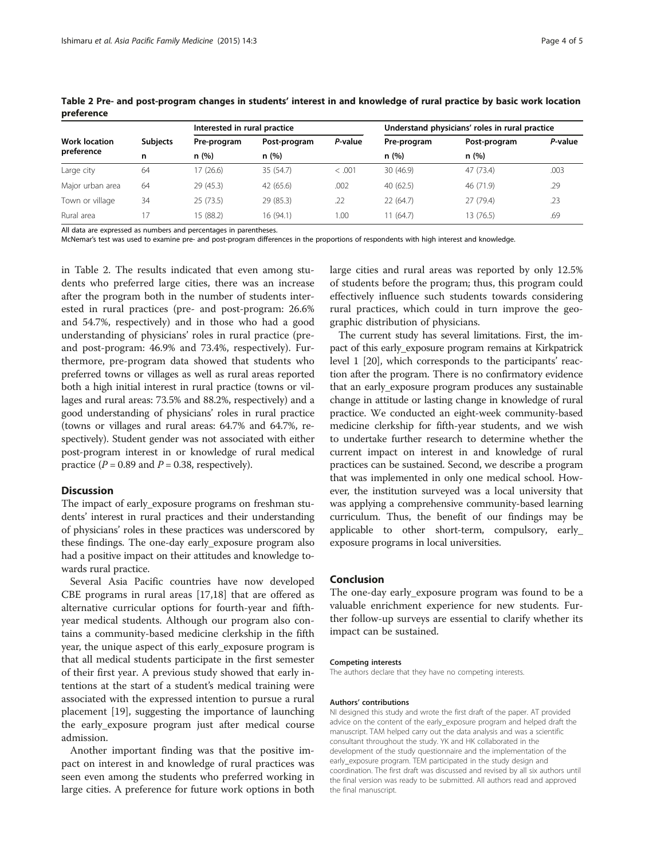|                                    | <b>Subjects</b><br>n | Interested in rural practice |                      | Understand physicians' roles in rural practice |                     |                      |         |
|------------------------------------|----------------------|------------------------------|----------------------|------------------------------------------------|---------------------|----------------------|---------|
| <b>Work location</b><br>preference |                      | Pre-program<br>n(%)          | Post-program<br>n(%) | P-value                                        | Pre-program<br>n(%) | Post-program<br>n(%) | P-value |
|                                    |                      |                              |                      |                                                |                     |                      |         |
| Large city                         | 64                   | 17 (26.6)                    | 35(54.7)             | < .001                                         | 30(46.9)            | 47 (73.4)            | .003    |
| Major urban area                   | 64                   | 29 (45.3)                    | 42 (65.6)            | .002                                           | 40 (62.5)           | 46 (71.9)            | .29     |
| Town or village                    | 34                   | 25(73.5)                     | 29 (85.3)            | .22                                            | 22 (64.7)           | 27 (79.4)            | .23     |
| Rural area                         | 17                   | 15 (88.2)                    | 16 (94.1)            | 1.00                                           | 11 (64.7)           | 13 (76.5)            | .69     |

Table 2 Pre- and post-program changes in students' interest in and knowledge of rural practice by basic work location preference

All data are expressed as numbers and percentages in parentheses.

McNemar's test was used to examine pre- and post-program differences in the proportions of respondents with high interest and knowledge.

in Table 2. The results indicated that even among students who preferred large cities, there was an increase after the program both in the number of students interested in rural practices (pre- and post-program: 26.6% and 54.7%, respectively) and in those who had a good understanding of physicians' roles in rural practice (preand post-program: 46.9% and 73.4%, respectively). Furthermore, pre-program data showed that students who preferred towns or villages as well as rural areas reported both a high initial interest in rural practice (towns or villages and rural areas: 73.5% and 88.2%, respectively) and a good understanding of physicians' roles in rural practice (towns or villages and rural areas: 64.7% and 64.7%, respectively). Student gender was not associated with either post-program interest in or knowledge of rural medical practice ( $P = 0.89$  and  $P = 0.38$ , respectively).

#### Discussion

The impact of early\_exposure programs on freshman students' interest in rural practices and their understanding of physicians' roles in these practices was underscored by these findings. The one-day early\_exposure program also had a positive impact on their attitudes and knowledge towards rural practice.

Several Asia Pacific countries have now developed CBE programs in rural areas [[17](#page-4-0),[18](#page-4-0)] that are offered as alternative curricular options for fourth-year and fifthyear medical students. Although our program also contains a community-based medicine clerkship in the fifth year, the unique aspect of this early\_exposure program is that all medical students participate in the first semester of their first year. A previous study showed that early intentions at the start of a student's medical training were associated with the expressed intention to pursue a rural placement [[19\]](#page-4-0), suggesting the importance of launching the early\_exposure program just after medical course admission.

Another important finding was that the positive impact on interest in and knowledge of rural practices was seen even among the students who preferred working in large cities. A preference for future work options in both large cities and rural areas was reported by only 12.5% of students before the program; thus, this program could effectively influence such students towards considering rural practices, which could in turn improve the geographic distribution of physicians.

The current study has several limitations. First, the impact of this early\_exposure program remains at Kirkpatrick level 1 [\[20](#page-4-0)], which corresponds to the participants' reaction after the program. There is no confirmatory evidence that an early\_exposure program produces any sustainable change in attitude or lasting change in knowledge of rural practice. We conducted an eight-week community-based medicine clerkship for fifth-year students, and we wish to undertake further research to determine whether the current impact on interest in and knowledge of rural practices can be sustained. Second, we describe a program that was implemented in only one medical school. However, the institution surveyed was a local university that was applying a comprehensive community-based learning curriculum. Thus, the benefit of our findings may be applicable to other short-term, compulsory, early\_ exposure programs in local universities.

# Conclusion

The one-day early\_exposure program was found to be a valuable enrichment experience for new students. Further follow-up surveys are essential to clarify whether its impact can be sustained.

#### Competing interests

The authors declare that they have no competing interests.

#### Authors' contributions

NI designed this study and wrote the first draft of the paper. AT provided advice on the content of the early\_exposure program and helped draft the manuscript. TAM helped carry out the data analysis and was a scientific consultant throughout the study. YK and HK collaborated in the development of the study questionnaire and the implementation of the early\_exposure program. TEM participated in the study design and coordination. The first draft was discussed and revised by all six authors until the final version was ready to be submitted. All authors read and approved the final manuscript.